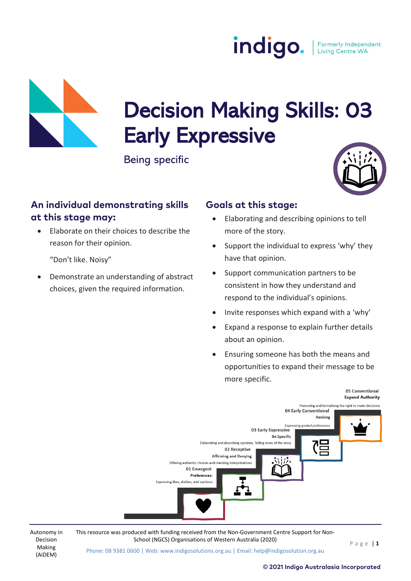

# Decision Making Skills: 03 Early Expressive<br>Being specific

#### **An individual demonstrating skills at this stage may:**

• Elaborate on their choices to describe the reason for their opinion.

"Don't like. Noisy"

Autonomy in Decision Making (AiDEM)

• Demonstrate an understanding of abstract choices, given the required information.

#### **Goals at this stage:**

- Elaborating and describing opinions to tell more of the story.
- Support the individual to express 'why' they have that opinion.
- Support communication partners to be consistent in how they understand and respond to the individual's opinions.
- Invite responses which expand with a 'why'
- Expand a response to explain further details about an opinion.
- Ensuring someone has both the means and opportunities to expand their message to be more specific.



This resource was produced with funding received from the Non-Government Centre Support for Non-School (NGCS) Organisations of Western Australia (2020) Page | 1

Phone: 08 9381 0600 | Web: www.indigosolutions.org.au | Email: help@indigosolution.org.au